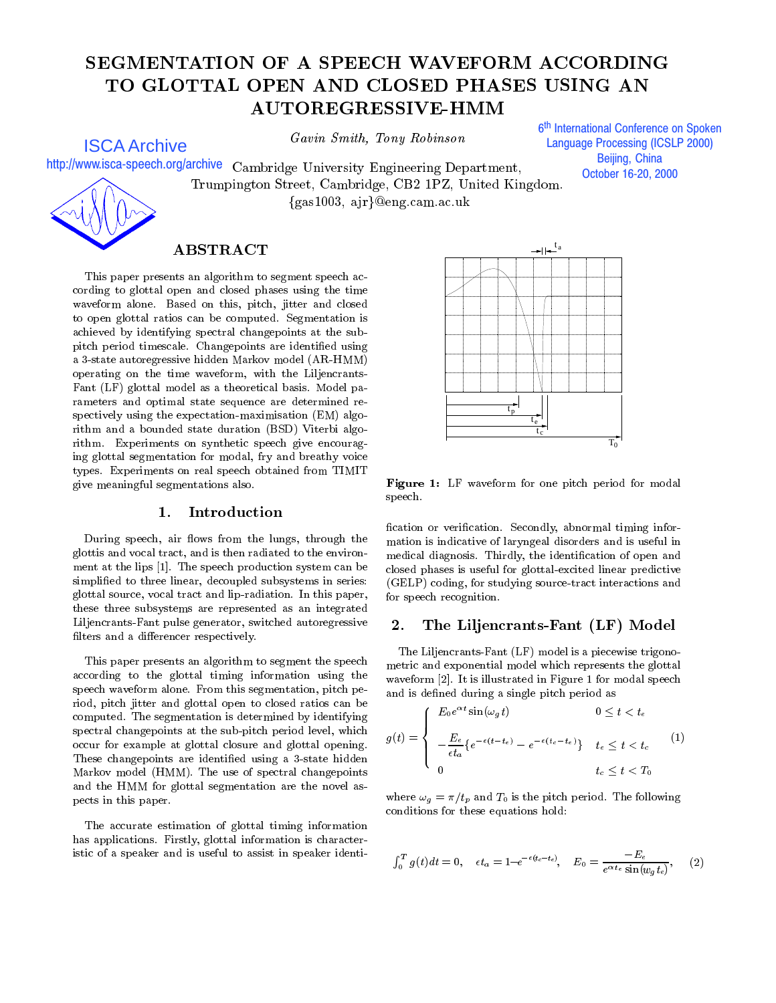# SEGMENTATION OF A SPEECH WAVEFORM ACCORDING TO GLOTTAL OPEN AND CLOSED PHASES USING AN **AUTOREGRESSIVE-HMM**

ISCA Archive

Gavin Smith, Tony Robinson

6<sup>th</sup> International Conference on Spoken j **Language Processing (ICSLP 2000)** Beijing, China October 16-20, 2000

http://www.isca-speech.org/archive Cambridge University Engineering Department. Trumpington Street, Cambridge, CB2 1PZ, United Kingdom. ${gas1003, ajr}@eng.cam.ac.uk$ 

## ABSTRACT

This paper presents an algorithm to segment speech according to glottal open and closed phases using the time waveform alone. Based on this, pitch, jitter and closed to open glottal ratios can be computed. Segmentation is achieved by identifying spectral changepoints at the subpitch period timescale. Changepoints are identified using a 3-state autoregressive hidden Markov model (AR-HMM) operating on the time waveform, with the Liljencrants-Fant (LF) glottal model as a theoretical basis. Model parameters and optimal state sequence are determined re-spectively using the expectation-maximisation (EM) algorithm and a bounded state duration (BSD) Viterbi algorithm. Experiments on synthetic speech give encouraging glottal segmentation for modal, fry and breathy voice types. Experiments on real speech obtained from TIMIT give meaningful segmentations also.

During speech, air flows from the lungs, through the glottis and vocal tract, and is then radiated to the environ ment at the lips [1]. The speech production system can be simplified to three linear, decoupled subsystems in series: glottal source, vocal tract and lip-radiation. In this paper, these three subsystems are represented as an integrated Liljencrants-Fant pulse generator, switched autoregressive 2. filters and a differencer respectively.

This paper presents an algorithm to segment the speech according to the glottal timing information using the speech waveform alone. From this segmentation, pitch period, pitch jitter and glottal open to closed ratios can be computed. The segmentation is determined by identifying spectral changepoints at the sub-pitch period level, which occur for example at glottal closure and glottal opening. These changepoints are identified using a 3-state hidden Markov model (HMM). The use of spectral changepoints and the HMM for glottal segmentation are the novel aspects in this paper.

The accurate estimation of glottal timing information has applications. Firstly, glottal information is characteristic of a speaker and is useful to assist in speaker identi-



Figure 1: LF waveform for one pitch period for modal speech.

fication or verification. Secondly, abnormal timing information is indicative of laryngeal disorders and is useful in medical diagnosis. Thirdly, the identification of open and closed phases is useful for glottal-excited linear predictive (GELP) coding, for studying source-tract interactions and for speech recognition.

## The Liljencrants-Fant (LF) Model

The Liljencrants-Fant (LF) model is a piecewise trigonometric and exponential model which represents the glottal waveform [2]. It is illustrated in Figure 1 for modal speech and is defined during a single pitch period as

$$
g(t) = \begin{cases} E_0 e^{\alpha t} \sin(\omega_g t) & 0 \le t < t_e \\ -\frac{E_e}{\epsilon t_a} \{ e^{-\epsilon(t - t_e)} - e^{-\epsilon(t_c - t_e)} \} & t_e \le t < t_c \\ 0 & t_c \le t < T_0 \end{cases}
$$
(1)

where  $\omega_g = \pi/t_p$  and  $T_0$  is the pitch period. The following conditions for these equations hold:

$$
\int_0^T g(t)dt = 0, \quad \epsilon t_a = 1 - e^{-\epsilon (t_c - t_e)}, \quad E_0 = \frac{-E_e}{e^{\alpha t_e} \sin(w_g t_e)}, \quad (2)
$$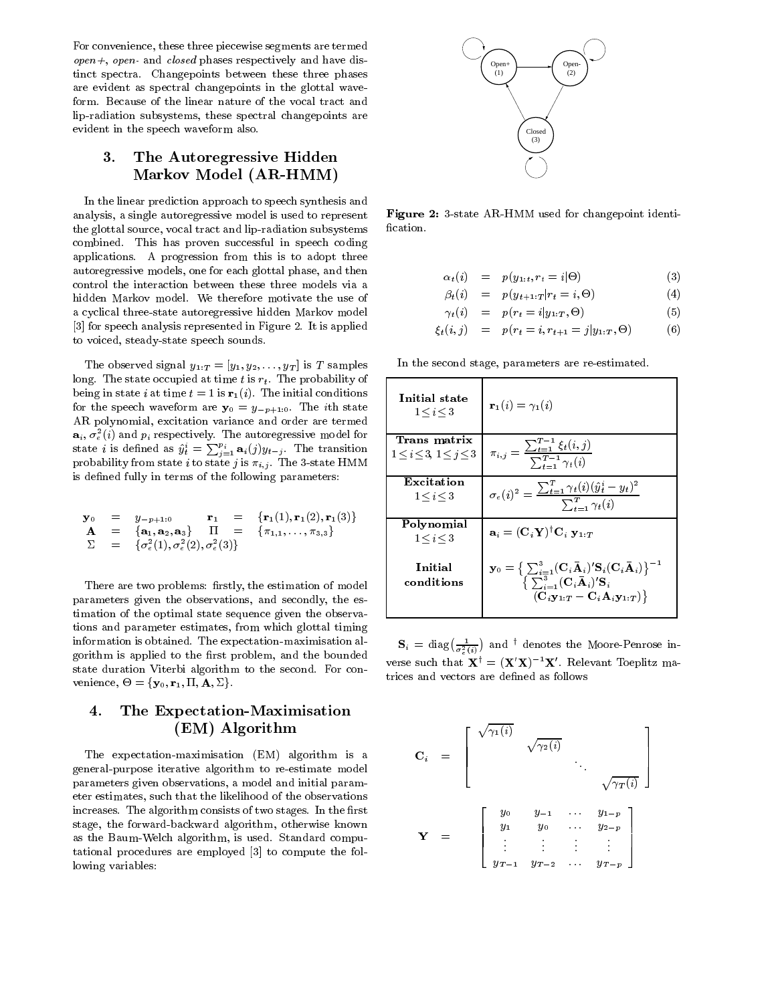For convenience, these three piecewise segments are termed  $open+, open-$  and closed phases respectively and have distinct spectra. Changepoints between these three phases are evident as spectral changepoints in the glottal waveform. Because of the linear nature of the vocal tract and lip-radiation subsystems, these spectral changepoints are evident in the speech waveform also.

#### 3. The Autoregressive Hidden Markov Model (AR-HMM)

In the linear prediction approach to speech synthesis and analysis, a single autoregressive model is used to represent the glottal source, vocal tract and lip-radiation subsystems combined. This has proven successful in speech coding applications. A progression from this is to adopt three autoregressive models, one for each glottal phase, and then control the interaction between these three models via a hidden Markov model. We therefore motivate the use of a cyclical three-state autoregressive hidden Markov model [3] for speech analysis represented in Figure 2. It is applied to voiced, steady-state speech sounds.

The observed signal  $y_{1:T} = [y_1, y_2, \ldots, y_T]$  is T samples long. The state occupied at time  $t$  is  $r_t$ . The probability of being in state i at time  $t=1$  is  $\mathbf{r}_1 (i)$ . The initial conditions for the speech waveform are  $y_0 = y_{-p+1:0}$ . The *i*th state AR polynomial, excitation variance and order are termed  $\mathbf{a}_i, \sigma_e^2(i)$  and  $p_i$  respectively. The autoregressive model for  $\begin{array}{c} \Box \ \Box \ \end{array}$ state *i* is defined as  $\hat{y}_t^i = \sum_{j=1}^{p_i} \mathbf{a}_i(j)y_{t-j}$ . The transition  $\begin{array}{c} \mathbf{a}_t \\ \mathbf{b}_t \leq \mathbf{a}_t \end{array}$ probability from state i to state j is  $\pi_{i,j}$ . The 3-state HMM is defined fully in terms of the following parameters:

$$
\mathbf{y}_0 = y_{-p+1:0} \mathbf{r}_1 = \{ \mathbf{r}_1(1), \mathbf{r}_1(2), \mathbf{r}_1(3) \}
$$
  
\n
$$
\mathbf{A} = \{ \mathbf{a}_1, \mathbf{a}_2, \mathbf{a}_3 \} \Pi = \{ \pi_{1,1}, \ldots, \pi_{3,3} \}
$$
  
\n
$$
\Sigma = \{ \sigma_e^2(1), \sigma_e^2(2), \sigma_e^2(3) \}
$$

There are two problems: firstly, the estimation of model parameters given the observations, and secondly, the es timation of the optimal state sequence given the observa tions and parameter estimates, from which glottal timing information is obtained. The expectation-maximisation algorithm is applied to the first problem, and the bounded state duration Viterbi algorithm to the second. For con  $v_{\text{c}}$  increase,  $v_{\text{c}} = \frac{1}{2}v_{\text{c}} + 1$ ,  $\frac{1}{2}v_{\text{c}} + 1$ ,  $\frac{1}{2}v_{\text{c}}$ 

## 4. The Expectation-Maximisation (EM) Algorithm

The expectation-maximisation (EM) algorithm is a general-purpose iterative algorithm to re-estimate model parameters given observations, a model and initial parameter estimates, such that the likelihood of the observations increases. The algorithm consists of two stages. In the first stage, the forward-backward algorithm, otherwise known as the Baum-Welch algorithm, is used. Standard computational procedures are employed [3] to compute the following variables:



Figure 2: 3-state AR-HMM used for changepoint identi fication.

$$
\alpha_t(i) = p(y_{1:t}, r_t = i | \Theta)
$$
\n(3)

$$
\beta_t(i) = p(y_{t+1:T}|r_t = i, \Theta) \tag{4}
$$

$$
\gamma_t(i) = p(r_t = i | y_{1:T}, \Theta) \tag{5}
$$

$$
\xi_t(i,j) = p(r_t = i, r_{t+1} = j | y_{1:T}, \Theta)
$$
 (6)

In the second stage, parameters are re-estimated.

| Initial state<br>$1 \le i \le 3$      | ${\bf r}_1(i) = \gamma_1(i)$                                                                                                                                                                                                                                                                        |
|---------------------------------------|-----------------------------------------------------------------------------------------------------------------------------------------------------------------------------------------------------------------------------------------------------------------------------------------------------|
| Trans matrix                          |                                                                                                                                                                                                                                                                                                     |
| $1 \leq i \leq 3$ , $1 \leq j \leq 3$ | $\pi_{i,j} = \frac{\sum_{t=1}^{T-1} \xi_t(i,j)}{\sum_{t=1}^{T-1} \gamma_t(i)}$                                                                                                                                                                                                                      |
|                                       |                                                                                                                                                                                                                                                                                                     |
|                                       |                                                                                                                                                                                                                                                                                                     |
| Excitation                            |                                                                                                                                                                                                                                                                                                     |
| $1 \le i \le 3$                       | $\sigma_e(i)^2 = \frac{\sum_{t=1}^{T} \gamma_t(i) (\hat{y}_t^i - y_t)^2}{\sum_{t=1}^{T} \gamma_t(i)}$                                                                                                                                                                                               |
| Polynomial                            |                                                                                                                                                                                                                                                                                                     |
| $1 \le i \le 3$                       | $\mathbf{a}_i = (\mathbf{C}_i \mathbf{Y})^{\dagger} \mathbf{C}_i \mathbf{V}_{1:T}$                                                                                                                                                                                                                  |
| Initial<br>conditions                 | $\mathbf{y}_0 = \Big\{ \sum_{i=1}^3 (\mathbf{C}_i \mathbf{\bar{A}}_i)' \mathbf{S}_i(\mathbf{C}_i \mathbf{\bar{A}}_i) \Big\}^{-1} \nonumber \ \Big\{ \sum_{i=1}^3 (\mathbf{C}_i \mathbf{\bar{A}}_i)' \mathbf{S}_i$<br>$(\mathbf{C}_i \mathbf{y}_{1:T} - \mathbf{C}_i \mathbf{A}_i \mathbf{y}_{1:T})$ |
|                                       |                                                                                                                                                                                                                                                                                                     |

 $\mathbf{S}_i = \text{diag}\left(\frac{1}{\sigma_e^2(i)}\right)$  and <sup>†</sup> denotes the Moore-Penrose inverse such that  $\mathbf{X}^{\dagger} = (\mathbf{X}'\mathbf{X})^{-1}\mathbf{X}'$ . Relevant Toeplitz matrices and vectors are defined as follows

$$
\mathbf{C}_{i} = \begin{bmatrix} \sqrt{\gamma_{1}(i)} & & & \\ & \sqrt{\gamma_{2}(i)} & & \\ & & \ddots & \\ & & & \sqrt{\gamma_{T}(i)} \end{bmatrix}
$$

$$
\mathbf{Y} = \begin{bmatrix} y_{0} & y_{-1} & \cdots & y_{1-p} \\ y_{1} & y_{0} & \cdots & y_{2-p} \\ \vdots & \vdots & \vdots & \vdots \\ y_{T-1} & y_{T-2} & \cdots & y_{T-p} \end{bmatrix}
$$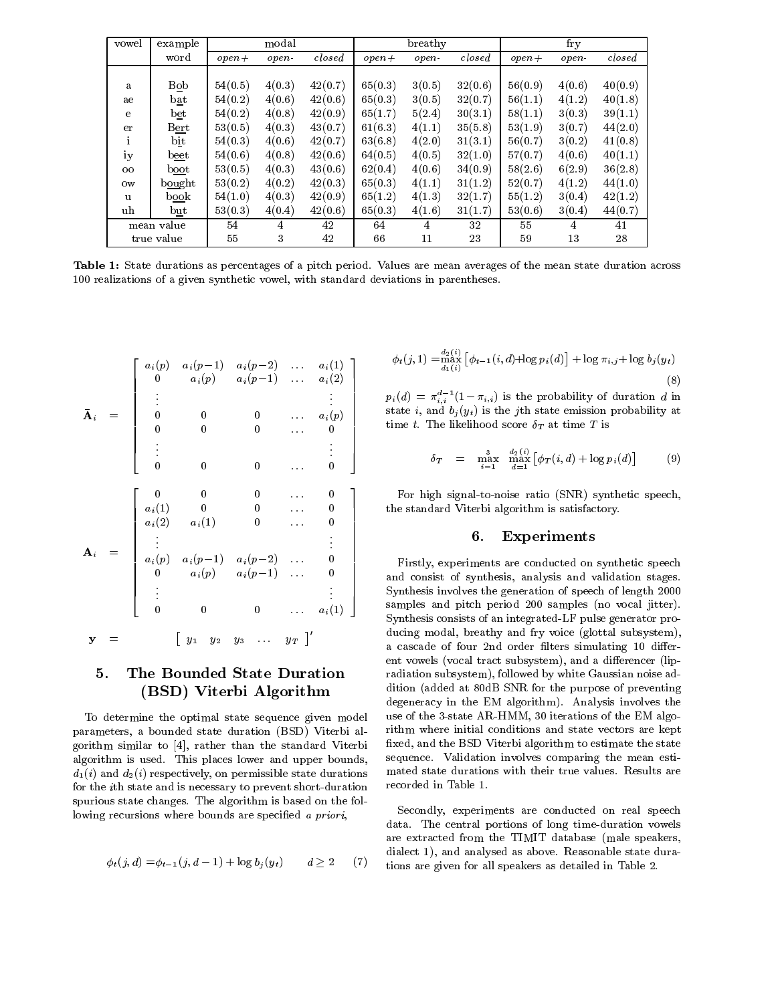| vowel        | example     |         | modal       |         |         | breathy |         |         | fry    |              |
|--------------|-------------|---------|-------------|---------|---------|---------|---------|---------|--------|--------------|
|              | word        | $open+$ | <i>open</i> | closed  | $open+$ | open-   | closed  | $open+$ | open-  | $\it closed$ |
|              |             |         |             |         |         |         |         |         |        |              |
| a            | Bob         | 54(0.5) | 4(0.3)      | 42(0.7) | 65(0.3) | 3(0.5)  | 32(0.6) | 56(0.9) | 4(0.6) | 40(0.9)      |
| ae           | bat         | 54(0.2) | 4(0.6)      | 42(0.6) | 65(0.3) | 3(0.5)  | 32(0.7) | 56(1.1) | 4(1.2) | 40(1.8)      |
| e            | bet         | 54(0.2) | 4(0.8)      | 42(0.9) | 65(1.7) | 5(2.4)  | 30(3.1) | 58(1.1) | 3(0.3) | 39(1.1)      |
| er           | B <u>er</u> | 53(0.5) | 4(0.3)      | 43(0.7) | 61(6.3) | 4(1.1)  | 35(5.8) | 53(1.9) | 3(0.7) | 44(2.0)      |
| $\mathbf{i}$ | bit         | 54(0.3) | 4(0.6)      | 42(0.7) | 63(6.8) | 4(2.0)  | 31(3.1) | 56(0.7) | 3(0.2) | 41(0.8)      |
| iy           | beet        | 54(0.6) | 4(0.8)      | 42(0.6) | 64(0.5) | 4(0.5)  | 32(1.0) | 57(0.7) | 4(0.6) | 40(1.1)      |
| $00\,$       | boot        | 53(0.5) | 4(0.3)      | 43(0.6) | 62(0.4) | 4(0.6)  | 34(0.9) | 58(2.6) | 6(2.9) | 36(2.8)      |
| 0w           | bought      | 53(0.2) | 4(0.2)      | 42(0.3) | 65(0.3) | 4(1.1)  | 31(1.2) | 52(0.7) | 4(1.2) | 44(1.0)      |
| u            | book        | 54(1.0) | 4(0.3)      | 42(0.9) | 65(1.2) | 4(1.3)  | 32(1.7) | 55(1.2) | 3(0.4) | 42(1.2)      |
| uh           | but         | 53(0.3) | 4(0.4)      | 42(0.6) | 65(0.3) | 4(1.6)  | 31(1.7) | 53(0.6) | 3(0.4) | 44(0.7)      |
|              | mean value  | 54      | 4           | 42      | 64      | 4       | 32      | 55      | 4      | 41           |
|              | true value  | 55      | 3           | 42      | 66      | 11      | 23      | 59      | 13     | 28           |

Table 1: State durations as percentages of a pitch period. Values are mean averages of the mean state duration across 100 realizations of a given synthetic vowel, with standard deviations in parentheses.

$$
\mathbf{A}_{i} = \begin{bmatrix} a_{i}(p) & a_{i}(p-1) & a_{i}(p-2) & \dots & a_{i}(1) \\ 0 & a_{i}(p) & a_{i}(p-1) & \dots & a_{i}(2) \\ \vdots & & & & \vdots \\ 0 & 0 & 0 & \dots & a_{i}(p) \\ 0 & 0 & 0 & \dots & 0 \end{bmatrix} \quad \begin{matrix} \phi_{t}(j), \\ \phi_{t}(k), \\ \text{state} \\ \text{time} \\ \text{time} \\ \text{time} \\ \text{time} \end{matrix}
$$
\n
$$
\mathbf{A}_{i} = \begin{bmatrix} 0 & 0 & 0 & \dots & 0 \\ a_{i}(1) & 0 & 0 & \dots & 0 \\ a_{i}(2) & a_{i}(1) & 0 & \dots & 0 \\ \vdots & & & & \vdots \\ a_{i}(p) & a_{i}(p-1) & a_{i}(p-2) & \dots & 0 \\ 0 & a_{i}(p) & a_{i}(p-1) & \dots & 0 \\ \vdots & & & & \vdots \\ 0 & 0 & 0 & \dots & a_{i}(1) \end{bmatrix} \quad \begin{matrix} \phi_{t}(j), \\ \text{state} \\ \text{time} \\ \text{time} \\ \text{time} \\ \text{time} \\ \text{time} \\ \text{time} \\ \text{time} \\ \text{time} \\ \text{time} \\ \text{time} \\ \text{time} \\ \text{time} \\ \text{time} \\ \text{time} \\ \text{time} \\ \text{time} \\ \text{time} \\ \text{time} \\ \text{time} \\ \text{time} \\ \text{time} \\ \text{time} \\ \text{time} \\ \text{time} \\ \text{time} \\ \text{time} \\ \text{time} \\ \text{time} \\ \text{time} \\ \text{time} \\ \text{time} \\ \text{time} \\ \text{time} \\ \text{time} \\ \text{time} \\ \text{time} \\ \text{time} \\ \text{time} \\ \text{time} \\ \text{time} \\ \text{time} \\ \text{time} \\ \text{time} \\ \text{time} \\ \text{time} \\ \text{time} \\ \text{time} \\ \text{time} \\ \text{time} \\ \text{time} \\ \text{time} \\ \text{time} \\ \text{time} \\ \text{time} \\ \text{time} \\ \text{time} \\ \text{time} \\ \text{time} \\ \text{time} \\ \text{time} \\ \text{time} \\ \text{time}
$$

#### The Bounded State Duration 5. (BSD) Viterbi Algorithm

To determine the optimal state sequence given model parameters, a bounded state duration (BSD) Viterbi algorithm similar to  $[4]$ , rather than the standard Viterbi algorithm is used. This places lower and upper bounds,  $d_1(i)$  and  $d_2(i)$  respectively, on permissible state durations for the ith state and is necessary to prevent short-duration spurious state changes. The algorithm is based on the following recursions where bounds are specified a priori,

$$
\phi_t(j,d) = \phi_{t-1}(j,d-1) + \log b_j(y_t)
$$
  $d \ge 2$  (7)

$$
\phi_t(j,1) = \min_{d_1(i)}^{\substack{d_2(i) \\ \text{max}}} \left[ \phi_{t-1}(i,d) + \log p_i(d) \right] + \log \pi_{i,j} + \log b_j(y_t)
$$
\n(8)

 $p_i(d) = \pi_{i,i}^{d-1}(1-\pi_{i,i})$  is the probability of duration d in state i, and  $b_j(y_t)$  is the jth state emission probability at | time t. The likelihood score  $\delta_T$  at time T is

$$
\delta_T = \max_{i=1}^3 \max_{d=1}^{d_2(i)} [\phi_T(i, d) + \log p_i(d)] \tag{9}
$$

3 For high signal-to-noise ratio (SNR) synthetic speech, 7 the standard Viterbi algorithm is satisfactory. The contract of the contract of the contract of the contract of the contract of the contract of the contract of

#### 6. Experiments

 $\Gamma$   $\Gamma$  is Firstly, experiments are conducted on synthetic speech The contract of the contract of the contract of the contract of the contract of the contract of the contract of  $\parallel$  and consist of synthesis, analysis and validation stages. 7  $\sim$  3 ynthesis involves the generation of speech of length 2000  $\sim$  500  $\pm$  500  $\pm$  500  $\pm$  500  $\pm$  500  $\pm$ samples and pitch period 200 samples (no vocal jitter). Synthesis consists of an integrated-LF pulse generator producing modal, breathy and fry voice (glottal subsystem), a cascade of four 2nd order filters simulating 10 different vowels (vocal tract subsystem), and a differencer (lipradiation subsystem), followed by white Gaussian noise addition (added at 80dB SNR for the purpose of preventing degeneracy in the EM algorithm). Analysis involves the use of the 3-state AR-HMM, 30 iterations of the EM algorithm where initial conditions and state vectors are kept xed, and the BSD Viterbi algorithm to estimate the state sequence. Validation involves comparing the mean estimated state durations with their true values. Results are recorded in Table 1.

Secondly, experiments are conducted on real speech data. The central portions of long time-duration vowels are extracted from the TIMIT database (male speakers, dialect 1), and analysed as above. Reasonable state durations are given for all speakers as detailed in Table 2.